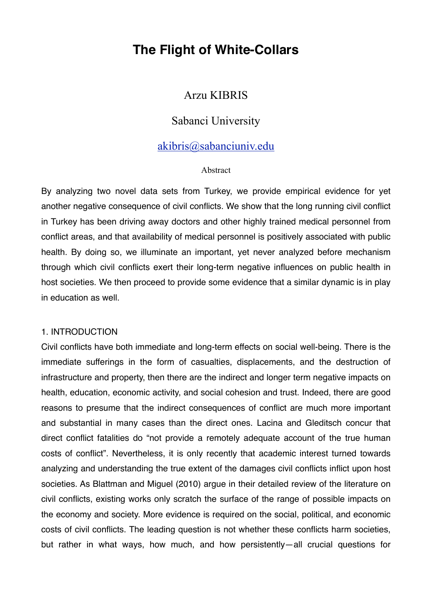# **The Flight of White-Collars**

# Arzu KIBRIS

# Sabanci University

# [akibris@sabanciuniv.edu](mailto:akibris@sabanciuniv.edu)

#### Abstract

By analyzing two novel data sets from Turkey, we provide empirical evidence for yet another negative consequence of civil conflicts. We show that the long running civil conflict in Turkey has been driving away doctors and other highly trained medical personnel from conflict areas, and that availability of medical personnel is positively associated with public health. By doing so, we illuminate an important, yet never analyzed before mechanism through which civil conflicts exert their long-term negative influences on public health in host societies. We then proceed to provide some evidence that a similar dynamic is in play in education as well.

#### 1. INTRODUCTION

Civil conflicts have both immediate and long-term effects on social well-being. There is the immediate sufferings in the form of casualties, displacements, and the destruction of infrastructure and property, then there are the indirect and longer term negative impacts on health, education, economic activity, and social cohesion and trust. Indeed, there are good reasons to presume that the indirect consequences of conflict are much more important and substantial in many cases than the direct ones. Lacina and Gleditsch concur that direct conflict fatalities do "not provide a remotely adequate account of the true human costs of conflict". Nevertheless, it is only recently that academic interest turned towards analyzing and understanding the true extent of the damages civil conflicts inflict upon host societies. As Blattman and Miguel (2010) argue in their detailed review of the literature on civil conflicts, existing works only scratch the surface of the range of possible impacts on the economy and society. More evidence is required on the social, political, and economic costs of civil conflicts. The leading question is not whether these conflicts harm societies, but rather in what ways, how much, and how persistently—all crucial questions for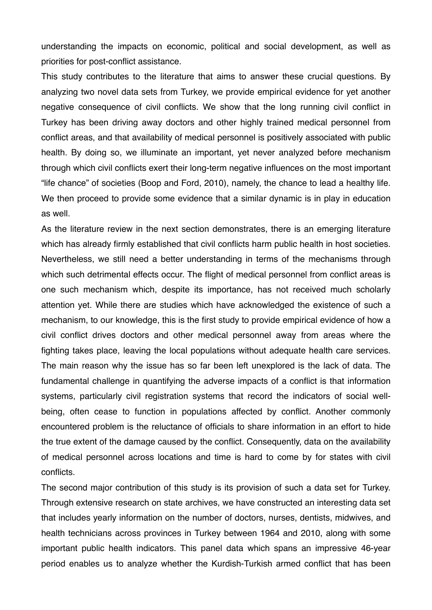understanding the impacts on economic, political and social development, as well as priorities for post-conflict assistance.

This study contributes to the literature that aims to answer these crucial questions. By analyzing two novel data sets from Turkey, we provide empirical evidence for yet another negative consequence of civil conflicts. We show that the long running civil conflict in Turkey has been driving away doctors and other highly trained medical personnel from conflict areas, and that availability of medical personnel is positively associated with public health. By doing so, we illuminate an important, yet never analyzed before mechanism through which civil conflicts exert their long-term negative influences on the most important "life chance" of societies (Boop and Ford, 2010), namely, the chance to lead a healthy life. We then proceed to provide some evidence that a similar dynamic is in play in education as well.

As the literature review in the next section demonstrates, there is an emerging literature which has already firmly established that civil conflicts harm public health in host societies. Nevertheless, we still need a better understanding in terms of the mechanisms through which such detrimental effects occur. The flight of medical personnel from conflict areas is one such mechanism which, despite its importance, has not received much scholarly attention yet. While there are studies which have acknowledged the existence of such a mechanism, to our knowledge, this is the first study to provide empirical evidence of how a civil conflict drives doctors and other medical personnel away from areas where the fighting takes place, leaving the local populations without adequate health care services. The main reason why the issue has so far been left unexplored is the lack of data. The fundamental challenge in quantifying the adverse impacts of a conflict is that information systems, particularly civil registration systems that record the indicators of social wellbeing, often cease to function in populations affected by conflict. Another commonly encountered problem is the reluctance of officials to share information in an effort to hide the true extent of the damage caused by the conflict. Consequently, data on the availability of medical personnel across locations and time is hard to come by for states with civil conflicts.

The second major contribution of this study is its provision of such a data set for Turkey. Through extensive research on state archives, we have constructed an interesting data set that includes yearly information on the number of doctors, nurses, dentists, midwives, and health technicians across provinces in Turkey between 1964 and 2010, along with some important public health indicators. This panel data which spans an impressive 46-year period enables us to analyze whether the Kurdish-Turkish armed conflict that has been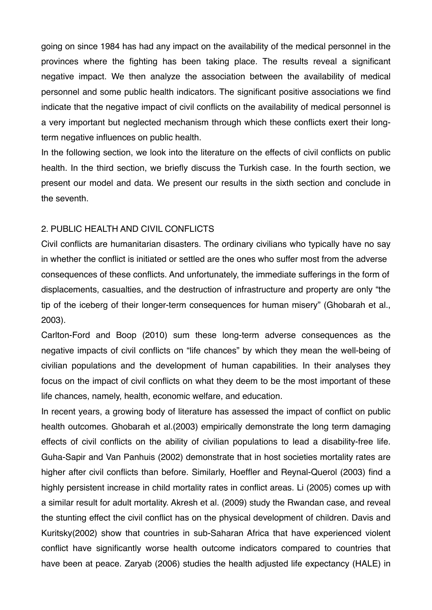going on since 1984 has had any impact on the availability of the medical personnel in the provinces where the fighting has been taking place. The results reveal a significant negative impact. We then analyze the association between the availability of medical personnel and some public health indicators. The significant positive associations we find indicate that the negative impact of civil conflicts on the availability of medical personnel is a very important but neglected mechanism through which these conflicts exert their longterm negative influences on public health.

In the following section, we look into the literature on the effects of civil conflicts on public health. In the third section, we briefly discuss the Turkish case. In the fourth section, we present our model and data. We present our results in the sixth section and conclude in the seventh.

### 2. PUBLIC HEALTH AND CIVIL CONFLICTS

Civil conflicts are humanitarian disasters. The ordinary civilians who typically have no say in whether the conflict is initiated or settled are the ones who suffer most from the adverse consequences of these conflicts. And unfortunately, the immediate sufferings in the form of displacements, casualties, and the destruction of infrastructure and property are only "the tip of the iceberg of their longer-term consequences for human misery" (Ghobarah et al., 2003).

Carlton-Ford and Boop (2010) sum these long-term adverse consequences as the negative impacts of civil conflicts on "life chances" by which they mean the well-being of civilian populations and the development of human capabilities. In their analyses they focus on the impact of civil conflicts on what they deem to be the most important of these life chances, namely, health, economic welfare, and education.

In recent years, a growing body of literature has assessed the impact of conflict on public health outcomes. Ghobarah et al.(2003) empirically demonstrate the long term damaging effects of civil conflicts on the ability of civilian populations to lead a disability-free life. Guha-Sapir and Van Panhuis (2002) demonstrate that in host societies mortality rates are higher after civil conflicts than before. Similarly, Hoeffler and Reynal-Querol (2003) find a highly persistent increase in child mortality rates in conflict areas. Li (2005) comes up with a similar result for adult mortality. Akresh et al. (2009) study the Rwandan case, and reveal the stunting effect the civil conflict has on the physical development of children. Davis and Kuritsky(2002) show that countries in sub-Saharan Africa that have experienced violent conflict have significantly worse health outcome indicators compared to countries that have been at peace. Zaryab (2006) studies the health adjusted life expectancy (HALE) in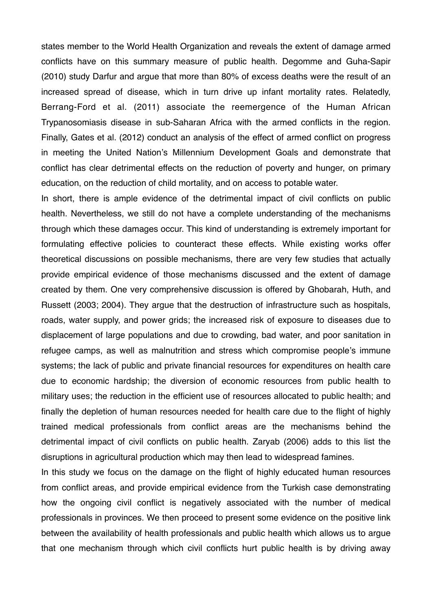states member to the World Health Organization and reveals the extent of damage armed conflicts have on this summary measure of public health. Degomme and Guha-Sapir (2010) study Darfur and argue that more than 80% of excess deaths were the result of an increased spread of disease, which in turn drive up infant mortality rates. Relatedly, Berrang-Ford et al. (2011) associate the reemergence of the Human African Trypanosomiasis disease in sub-Saharan Africa with the armed conflicts in the region. Finally, Gates et al. (2012) conduct an analysis of the effect of armed conflict on progress in meeting the United Nation's Millennium Development Goals and demonstrate that conflict has clear detrimental effects on the reduction of poverty and hunger, on primary education, on the reduction of child mortality, and on access to potable water.

In short, there is ample evidence of the detrimental impact of civil conflicts on public health. Nevertheless, we still do not have a complete understanding of the mechanisms through which these damages occur. This kind of understanding is extremely important for formulating effective policies to counteract these effects. While existing works offer theoretical discussions on possible mechanisms, there are very few studies that actually provide empirical evidence of those mechanisms discussed and the extent of damage created by them. One very comprehensive discussion is offered by Ghobarah, Huth, and Russett (2003; 2004). They argue that the destruction of infrastructure such as hospitals, roads, water supply, and power grids; the increased risk of exposure to diseases due to displacement of large populations and due to crowding, bad water, and poor sanitation in refugee camps, as well as malnutrition and stress which compromise people's immune systems; the lack of public and private financial resources for expenditures on health care due to economic hardship; the diversion of economic resources from public health to military uses; the reduction in the efficient use of resources allocated to public health; and finally the depletion of human resources needed for health care due to the flight of highly trained medical professionals from conflict areas are the mechanisms behind the detrimental impact of civil conflicts on public health. Zaryab (2006) adds to this list the disruptions in agricultural production which may then lead to widespread famines.

In this study we focus on the damage on the flight of highly educated human resources from conflict areas, and provide empirical evidence from the Turkish case demonstrating how the ongoing civil conflict is negatively associated with the number of medical professionals in provinces. We then proceed to present some evidence on the positive link between the availability of health professionals and public health which allows us to argue that one mechanism through which civil conflicts hurt public health is by driving away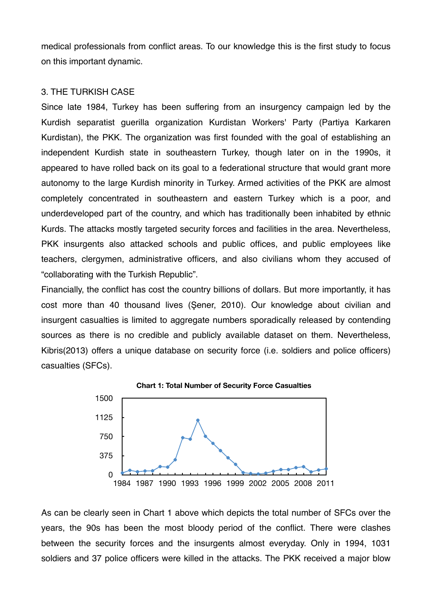medical professionals from conflict areas. To our knowledge this is the first study to focus on this important dynamic.

### 3. THE TURKISH CASE

Since late 1984, Turkey has been suffering from an insurgency campaign led by the Kurdish separatist guerilla organization Kurdistan Workers' Party (Partiya Karkaren Kurdistan), the PKK. The organization was first founded with the goal of establishing an independent Kurdish state in southeastern Turkey, though later on in the 1990s, it appeared to have rolled back on its goal to a federational structure that would grant more autonomy to the large Kurdish minority in Turkey. Armed activities of the PKK are almost completely concentrated in southeastern and eastern Turkey which is a poor, and underdeveloped part of the country, and which has traditionally been inhabited by ethnic Kurds. The attacks mostly targeted security forces and facilities in the area. Nevertheless, PKK insurgents also attacked schools and public offices, and public employees like teachers, clergymen, administrative officers, and also civilians whom they accused of "collaborating with the Turkish Republic".

Financially, the conflict has cost the country billions of dollars. But more importantly, it has cost more than 40 thousand lives (Şener, 2010). Our knowledge about civilian and insurgent casualties is limited to aggregate numbers sporadically released by contending sources as there is no credible and publicly available dataset on them. Nevertheless, Kibris(2013) offers a unique database on security force (i.e. soldiers and police officers) casualties (SFCs).



As can be clearly seen in Chart 1 above which depicts the total number of SFCs over the years, the 90s has been the most bloody period of the conflict. There were clashes between the security forces and the insurgents almost everyday. Only in 1994, 1031 soldiers and 37 police officers were killed in the attacks. The PKK received a major blow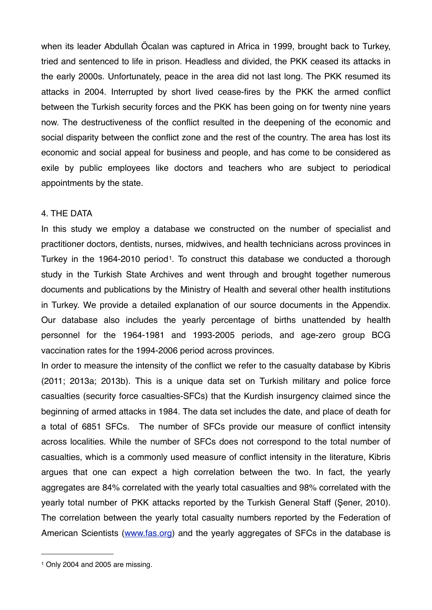when its leader Abdullah Öcalan was captured in Africa in 1999, brought back to Turkey, tried and sentenced to life in prison. Headless and divided, the PKK ceased its attacks in the early 2000s. Unfortunately, peace in the area did not last long. The PKK resumed its attacks in 2004. Interrupted by short lived cease-fires by the PKK the armed conflict between the Turkish security forces and the PKK has been going on for twenty nine years now. The destructiveness of the conflict resulted in the deepening of the economic and social disparity between the conflict zone and the rest of the country. The area has lost its economic and social appeal for business and people, and has come to be considered as exile by public employees like doctors and teachers who are subject to periodical appointments by the state.

#### 4. THE DATA

In this study we employ a database we constructed on the number of specialist and practitioner doctors, dentists, nurses, midwives, and health technicians across provinces in Turkey in the 1964-2010 period<sup>1</sup>. To construct this database we conducted a thorough study in the Turkish State Archives and went through and brought together numerous documents and publications by the Ministry of Health and several other health institutions in Turkey. We provide a detailed explanation of our source documents in the Appendix. Our database also includes the yearly percentage of births unattended by health personnel for the 1964-1981 and 1993-2005 periods, and age-zero group BCG vaccination rates for the 1994-2006 period across provinces.

In order to measure the intensity of the conflict we refer to the casualty database by Kibris (2011; 2013a; 2013b). This is a unique data set on Turkish military and police force casualties (security force casualties-SFCs) that the Kurdish insurgency claimed since the beginning of armed attacks in 1984. The data set includes the date, and place of death for a total of 6851 SFCs. The number of SFCs provide our measure of conflict intensity across localities. While the number of SFCs does not correspond to the total number of casualties, which is a commonly used measure of conflict intensity in the literature, Kibris argues that one can expect a high correlation between the two. In fact, the yearly aggregates are 84% correlated with the yearly total casualties and 98% correlated with the yearly total number of PKK attacks reported by the Turkish General Staff (Şener, 2010). The correlation between the yearly total casualty numbers reported by the Federation of American Scientists ([www.fas.org](http://www.fas.org)) and the yearly aggregates of SFCs in the database is

<span id="page-5-0"></span><sup>1</sup> Only 2004 and 2005 are missing.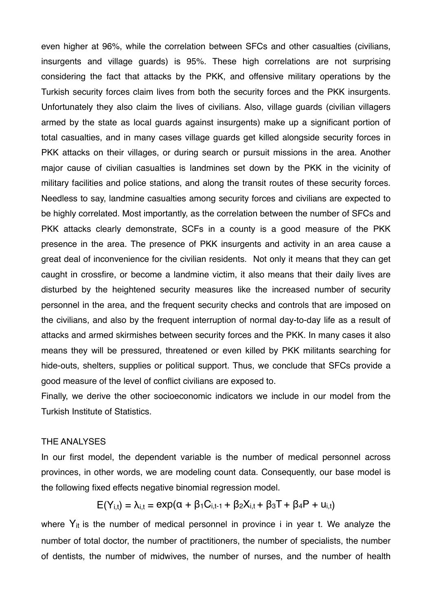even higher at 96%, while the correlation between SFCs and other casualties (civilians, insurgents and village guards) is 95%. These high correlations are not surprising considering the fact that attacks by the PKK, and offensive military operations by the Turkish security forces claim lives from both the security forces and the PKK insurgents. Unfortunately they also claim the lives of civilians. Also, village guards (civilian villagers armed by the state as local guards against insurgents) make up a significant portion of total casualties, and in many cases village guards get killed alongside security forces in PKK attacks on their villages, or during search or pursuit missions in the area. Another major cause of civilian casualties is landmines set down by the PKK in the vicinity of military facilities and police stations, and along the transit routes of these security forces. Needless to say, landmine casualties among security forces and civilians are expected to be highly correlated. Most importantly, as the correlation between the number of SFCs and PKK attacks clearly demonstrate, SCFs in a county is a good measure of the PKK presence in the area. The presence of PKK insurgents and activity in an area cause a great deal of inconvenience for the civilian residents. Not only it means that they can get caught in crossfire, or become a landmine victim, it also means that their daily lives are disturbed by the heightened security measures like the increased number of security personnel in the area, and the frequent security checks and controls that are imposed on the civilians, and also by the frequent interruption of normal day-to-day life as a result of attacks and armed skirmishes between security forces and the PKK. In many cases it also means they will be pressured, threatened or even killed by PKK militants searching for hide-outs, shelters, supplies or political support. Thus, we conclude that SFCs provide a good measure of the level of conflict civilians are exposed to.

Finally, we derive the other socioeconomic indicators we include in our model from the Turkish Institute of Statistics.

#### THE ANALYSES

In our first model, the dependent variable is the number of medical personnel across provinces, in other words, we are modeling count data. Consequently, our base model is the following fixed effects negative binomial regression model.

$$
E(Y_{i,t}) = \lambda_{i,t} = exp(\alpha + \beta_1 C_{i,t-1} + \beta_2 X_{i,t} + \beta_3 T + \beta_4 P + u_{i,t})
$$

where  $Y_{it}$  is the number of medical personnel in province i in year t. We analyze the number of total doctor, the number of practitioners, the number of specialists, the number of dentists, the number of midwives, the number of nurses, and the number of health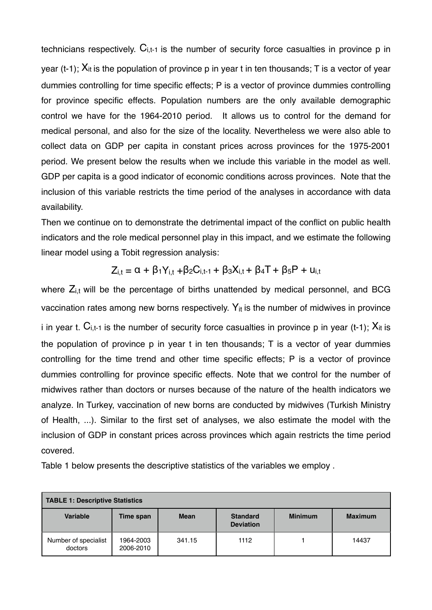technicians respectively.  $C_{i,t-1}$  is the number of security force casualties in province p in year (t-1);  $X_{it}$  is the population of province p in year t in ten thousands; T is a vector of year dummies controlling for time specific effects; P is a vector of province dummies controlling for province specific effects. Population numbers are the only available demographic control we have for the 1964-2010 period. It allows us to control for the demand for medical personal, and also for the size of the locality. Nevertheless we were also able to collect data on GDP per capita in constant prices across provinces for the 1975-2001 period. We present below the results when we include this variable in the model as well. GDP per capita is a good indicator of economic conditions across provinces. Note that the inclusion of this variable restricts the time period of the analyses in accordance with data availability.

Then we continue on to demonstrate the detrimental impact of the conflict on public health indicators and the role medical personnel play in this impact, and we estimate the following linear model using a Tobit regression analysis:

$$
Z_{i,t} = \alpha + \beta_1 Y_{i,t} + \beta_2 C_{i,t-1} + \beta_3 X_{i,t} + \beta_4 T + \beta_5 P + u_{i,t}
$$

where  $Z_{i,t}$  will be the percentage of births unattended by medical personnel, and BCG vaccination rates among new borns respectively.  $Y_{it}$  is the number of midwives in province i in year t.  $C_{i,t-1}$  is the number of security force casualties in province p in year (t-1);  $X_{it}$  is the population of province p in year t in ten thousands; T is a vector of year dummies controlling for the time trend and other time specific effects; P is a vector of province dummies controlling for province specific effects. Note that we control for the number of midwives rather than doctors or nurses because of the nature of the health indicators we analyze. In Turkey, vaccination of new borns are conducted by midwives (Turkish Ministry of Health, ...). Similar to the first set of analyses, we also estimate the model with the inclusion of GDP in constant prices across provinces which again restricts the time period covered.

Table 1 below presents the descriptive statistics of the variables we employ .

| TABLE 1: Descriptive Statistics |                        |             |                                     |                |                |
|---------------------------------|------------------------|-------------|-------------------------------------|----------------|----------------|
| Variable                        | Time span              | <b>Mean</b> | <b>Standard</b><br><b>Deviation</b> | <b>Minimum</b> | <b>Maximum</b> |
| Number of specialist<br>doctors | 1964-2003<br>2006-2010 | 341.15      | 1112                                |                | 14437          |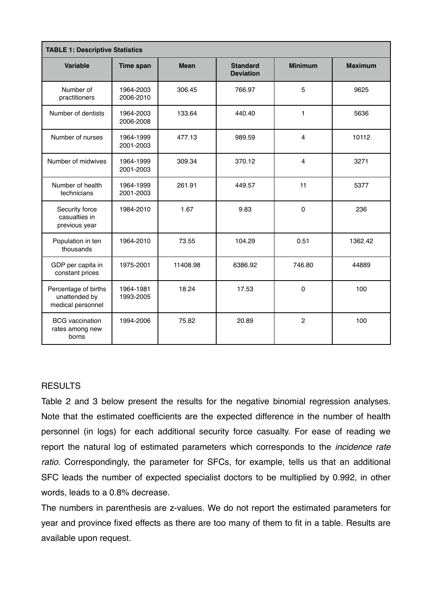| <b>TABLE 1: Descriptive Statistics</b>                     |                        |             |                                     |                |                |
|------------------------------------------------------------|------------------------|-------------|-------------------------------------|----------------|----------------|
| Variable                                                   | <b>Time span</b>       | <b>Mean</b> | <b>Standard</b><br><b>Deviation</b> | <b>Minimum</b> | <b>Maximum</b> |
| Number of<br>practitioners                                 | 1964-2003<br>2006-2010 | 306.45      | 766.97                              | 5              | 9625           |
| Number of dentists                                         | 1964-2003<br>2006-2008 | 133.64      | 440.40                              | 1              | 5636           |
| Number of nurses                                           | 1964-1999<br>2001-2003 | 477.13      | 989.59                              | $\overline{4}$ | 10112          |
| Number of midwives                                         | 1964-1999<br>2001-2003 | 309.34      | 370.12                              | $\overline{4}$ | 3271           |
| Number of health<br>technicians                            | 1964-1999<br>2001-2003 | 261.91      | 449.57                              | 11             | 5377           |
| Security force<br>casualties in<br>previous year           | 1984-2010              | 1.67        | 9.83                                | $\mathbf 0$    | 236            |
| Population in ten<br>thousands                             | 1964-2010              | 73.55       | 104.29                              | 0.51           | 1362.42        |
| GDP per capita in<br>constant prices                       | 1975-2001              | 11408.98    | 6386.92                             | 746.80         | 44889          |
| Percentage of births<br>unattended by<br>medical personnel | 1964-1981<br>1993-2005 | 18.24       | 17.53                               | $\mathbf 0$    | 100            |
| <b>BCG</b> vaccination<br>rates among new<br>borns         | 1994-2006              | 75.82       | 20.89                               | $\mathbf{2}$   | 100            |

### **RESULTS**

Table 2 and 3 below present the results for the negative binomial regression analyses. Note that the estimated coefficients are the expected difference in the number of health personnel (in logs) for each additional security force casualty. For ease of reading we report the natural log of estimated parameters which corresponds to the *incidence rate ratio*. Correspondingly, the parameter for SFCs, for example, tells us that an additional SFC leads the number of expected specialist doctors to be multiplied by 0.992, in other words, leads to a 0.8% decrease.

The numbers in parenthesis are z-values. We do not report the estimated parameters for year and province fixed effects as there are too many of them to fit in a table. Results are available upon request.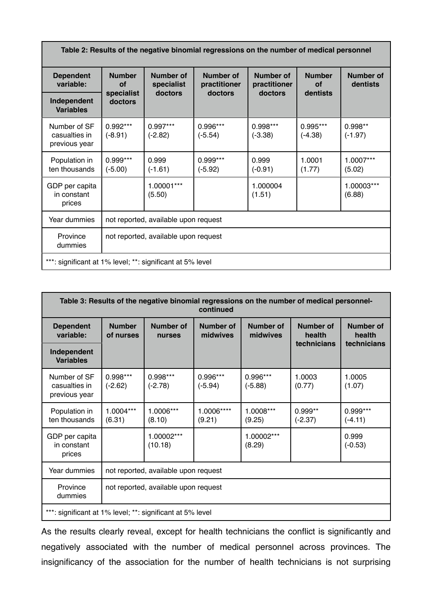| Table 2: Results of the negative binomial regressions on the number of medical personnel |                                      |                         |                                  |                           |                         |                              |
|------------------------------------------------------------------------------------------|--------------------------------------|-------------------------|----------------------------------|---------------------------|-------------------------|------------------------------|
| <b>Dependent</b><br>variable:                                                            | <b>Number</b><br>Οf                  | Number of<br>specialist | <b>Number of</b><br>practitioner | Number of<br>practitioner | <b>Number</b><br>Οf     | <b>Number of</b><br>dentists |
| Independent<br><b>Variables</b>                                                          | specialist<br>doctors                | doctors                 | doctors                          | doctors                   | dentists                |                              |
| Number of SF<br>casualties in<br>previous year                                           | $0.992***$<br>$(-8.91)$              | $0.997***$<br>$(-2.82)$ | 0.996***<br>$(-5.54)$            | $0.998***$<br>$(-3.38)$   | $0.995***$<br>$(-4.38)$ | $0.998**$<br>$(-1.97)$       |
| Population in<br>ten thousands                                                           | $0.999***$<br>$(-5.00)$              | 0.999<br>$(-1.61)$      | $0.999***$<br>$(-5.92)$          | 0.999<br>$(-0.91)$        | 1.0001<br>(1.77)        | 1.0007***<br>(5.02)          |
| GDP per capita<br>in constant<br>prices                                                  |                                      | 1.00001***<br>(5.50)    |                                  | 1.000004<br>(1.51)        |                         | 1.00003***<br>(6.88)         |
| Year dummies                                                                             | not reported, available upon request |                         |                                  |                           |                         |                              |
| Province<br>dummies                                                                      | not reported, available upon request |                         |                                  |                           |                         |                              |
| ***: significant at 1% level; **: significant at 5% level                                |                                      |                         |                                  |                           |                         |                              |

| Table 3: Results of the negative binomial regressions on the number of medical personnel-<br>continued |                                      |                       |                       |                              |                        |                            |
|--------------------------------------------------------------------------------------------------------|--------------------------------------|-----------------------|-----------------------|------------------------------|------------------------|----------------------------|
| <b>Dependent</b><br>variable:                                                                          | <b>Number</b><br>of nurses           | Number of<br>nurses   | Number of<br>midwives | <b>Number of</b><br>midwives | Number of<br>health    | <b>Number of</b><br>health |
| Independent<br><b>Variables</b>                                                                        |                                      |                       |                       |                              | technicians            | technicians                |
| Number of SF<br>casualties in<br>previous year                                                         | 0.998***<br>$(-2.62)$                | 0.998***<br>$(-2.78)$ | 0.996***<br>$(-5.94)$ | 0.996***<br>$(-5.88)$        | 1.0003<br>(0.77)       | 1.0005<br>(1.07)           |
| Population in<br>ten thousands                                                                         | 1.0004***<br>(6.31)                  | 1.0006***<br>(8.10)   | 1.0006****<br>(9.21)  | 1.0008***<br>(9.25)          | $0.999**$<br>$(-2.37)$ | $0.999***$<br>$(-4.11)$    |
| GDP per capita<br>in constant<br>prices                                                                |                                      | 1.00002***<br>(10.18) |                       | 1.00002***<br>(8.29)         |                        | 0.999<br>$(-0.53)$         |
| Year dummies                                                                                           | not reported, available upon request |                       |                       |                              |                        |                            |
| Province<br>dummies                                                                                    | not reported, available upon request |                       |                       |                              |                        |                            |
| ***: significant at 1% level; **: significant at 5% level                                              |                                      |                       |                       |                              |                        |                            |

As the results clearly reveal, except for health technicians the conflict is significantly and negatively associated with the number of medical personnel across provinces. The insignificancy of the association for the number of health technicians is not surprising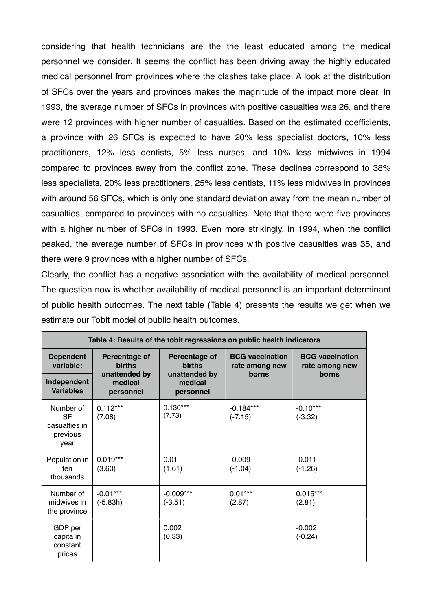considering that health technicians are the the least educated among the medical personnel we consider. It seems the conflict has been driving away the highly educated medical personnel from provinces where the clashes take place. A look at the distribution of SFCs over the years and provinces makes the magnitude of the impact more clear. In 1993, the average number of SFCs in provinces with positive casualties was 26, and there were 12 provinces with higher number of casualties. Based on the estimated coefficients, a province with 26 SFCs is expected to have 20% less specialist doctors, 10% less practitioners, 12% less dentists, 5% less nurses, and 10% less midwives in 1994 compared to provinces away from the conflict zone. These declines correspond to 38% less specialists, 20% less practitioners, 25% less dentists, 11% less midwives in provinces with around 56 SFCs, which is only one standard deviation away from the mean number of casualties, compared to provinces with no casualties. Note that there were five provinces with a higher number of SFCs in 1993. Even more strikingly, in 1994, when the conflict peaked, the average number of SFCs in provinces with positive casualties was 35, and there were 9 provinces with a higher number of SFCs.

Clearly, the conflict has a negative association with the availability of medical personnel. The question now is whether availability of medical personnel is an important determinant of public health outcomes. The next table (Table 4) presents the results we get when we estimate our Tobit model of public health outcomes.

| Table 4: Results of the tobit regressions on public health indicators |                                                                         |                                                                         |                                                   |                                                   |
|-----------------------------------------------------------------------|-------------------------------------------------------------------------|-------------------------------------------------------------------------|---------------------------------------------------|---------------------------------------------------|
| <b>Dependent</b><br>variable:<br>Independent<br><b>Variables</b>      | Percentage of<br><b>births</b><br>unattended by<br>medical<br>personnel | Percentage of<br><b>births</b><br>unattended by<br>medical<br>personnel | <b>BCG</b> vaccination<br>rate among new<br>borns | <b>BCG</b> vaccination<br>rate among new<br>borns |
| Number of<br><b>SF</b><br>casualties in<br>previous<br>year           | $0.112***$<br>(7.08)                                                    | $0.130***$<br>(7.73)                                                    | $-0.184***$<br>$(-7.15)$                          | $-0.10***$<br>$(-3.32)$                           |
| Population in<br>ten<br>thousands                                     | $0.019***$<br>(3.60)                                                    | 0.01<br>(1.61)                                                          | $-0.009$<br>$(-1.04)$                             | $-0.011$<br>$(-1.26)$                             |
| Number of<br>midwives in<br>the province                              | $-0.01***$<br>$(-5.83h)$                                                | $-0.009***$<br>$(-3.51)$                                                | $0.01***$<br>(2.87)                               | $0.015***$<br>(2.81)                              |
| GDP per<br>capita in<br>constant<br>prices                            |                                                                         | 0.002<br>(0.33)                                                         |                                                   | $-0.002$<br>$(-0.24)$                             |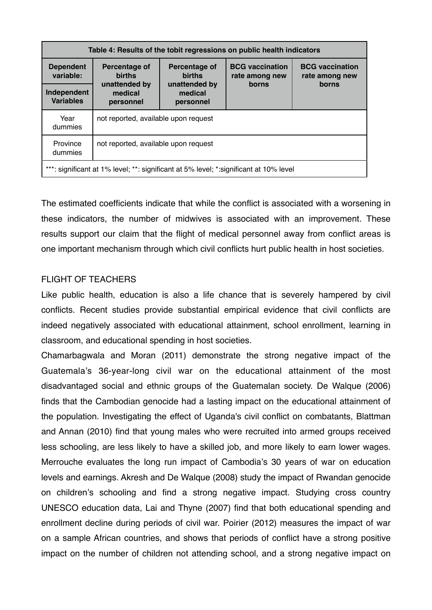| Table 4: Results of the tobit regressions on public health indicators                  |                                       |                                       |                                          |                                          |  |
|----------------------------------------------------------------------------------------|---------------------------------------|---------------------------------------|------------------------------------------|------------------------------------------|--|
| <b>Dependent</b><br>variable:                                                          | Percentage of<br><b>births</b>        | Percentage of<br><b>births</b>        | <b>BCG</b> vaccination<br>rate among new | <b>BCG</b> vaccination<br>rate among new |  |
| Independent<br><b>Variables</b>                                                        | unattended by<br>medical<br>personnel | unattended by<br>medical<br>personnel | borns                                    | borns                                    |  |
| Year<br>not reported, available upon request<br>dummies                                |                                       |                                       |                                          |                                          |  |
| Province<br>not reported, available upon request<br>dummies                            |                                       |                                       |                                          |                                          |  |
| ***: significant at 1% level; **: significant at 5% level; *: significant at 10% level |                                       |                                       |                                          |                                          |  |

The estimated coefficients indicate that while the conflict is associated with a worsening in these indicators, the number of midwives is associated with an improvement. These results support our claim that the flight of medical personnel away from conflict areas is one important mechanism through which civil conflicts hurt public health in host societies.

## FLIGHT OF TEACHERS

Like public health, education is also a life chance that is severely hampered by civil conflicts. Recent studies provide substantial empirical evidence that civil conflicts are indeed negatively associated with educational attainment, school enrollment, learning in classroom, and educational spending in host societies.

Chamarbagwala and Moran (2011) demonstrate the strong negative impact of the Guatemala's 36-year-long civil war on the educational attainment of the most disadvantaged social and ethnic groups of the Guatemalan society. De Walque (2006) finds that the Cambodian genocide had a lasting impact on the educational attainment of the population. Investigating the effect of Uganda's civil conflict on combatants, Blattman and Annan (2010) find that young males who were recruited into armed groups received less schooling, are less likely to have a skilled job, and more likely to earn lower wages. Merrouche evaluates the long run impact of Cambodia's 30 years of war on education levels and earnings. Akresh and De Walque (2008) study the impact of Rwandan genocide on children's schooling and find a strong negative impact. Studying cross country UNESCO education data, Lai and Thyne (2007) find that both educational spending and enrollment decline during periods of civil war. Poirier (2012) measures the impact of war on a sample African countries, and shows that periods of conflict have a strong positive impact on the number of children not attending school, and a strong negative impact on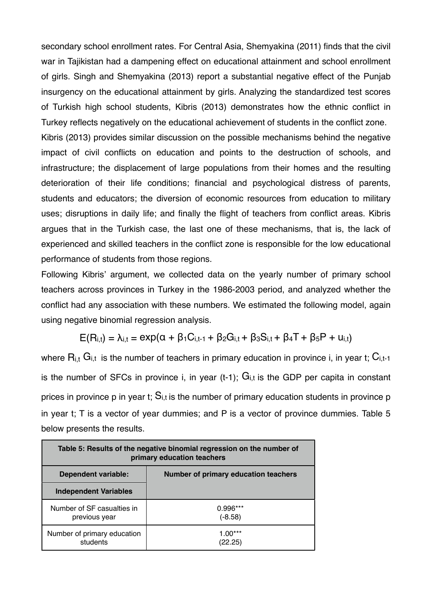secondary school enrollment rates. For Central Asia, Shemyakina (2011) finds that the civil war in Tajikistan had a dampening effect on educational attainment and school enrollment of girls. Singh and Shemyakina (2013) report a substantial negative effect of the Punjab insurgency on the educational attainment by girls. Analyzing the standardized test scores of Turkish high school students, Kibris (2013) demonstrates how the ethnic conflict in Turkey reflects negatively on the educational achievement of students in the conflict zone. Kibris (2013) provides similar discussion on the possible mechanisms behind the negative impact of civil conflicts on education and points to the destruction of schools, and infrastructure; the displacement of large populations from their homes and the resulting deterioration of their life conditions; financial and psychological distress of parents, students and educators; the diversion of economic resources from education to military uses; disruptions in daily life; and finally the flight of teachers from conflict areas. Kibris argues that in the Turkish case, the last one of these mechanisms, that is, the lack of experienced and skilled teachers in the conflict zone is responsible for the low educational performance of students from those regions.

Following Kibris' argument, we collected data on the yearly number of primary school teachers across provinces in Turkey in the 1986-2003 period, and analyzed whether the conflict had any association with these numbers. We estimated the following model, again using negative binomial regression analysis.

$$
E(R_{i,t}) = \lambda_{i,t} = exp(\alpha + \beta_1 C_{i,t-1} + \beta_2 G_{i,t} + \beta_3 S_{i,t} + \beta_4 T + \beta_5 P + u_{i,t})
$$

where  $R_{i,t}$  G<sub>i,t</sub> is the number of teachers in primary education in province i, in year t;  $C_{i,t-1}$ is the number of SFCs in province i, in year  $(t-1)$ ;  $G_{i,t}$  is the GDP per capita in constant prices in province p in year t;  $S_{i,t}$  is the number of primary education students in province p in year t; T is a vector of year dummies; and P is a vector of province dummies. Table 5 below presents the results.

| Table 5: Results of the negative binomial regression on the number of<br>primary education teachers |                                      |  |  |
|-----------------------------------------------------------------------------------------------------|--------------------------------------|--|--|
| <b>Dependent variable:</b>                                                                          | Number of primary education teachers |  |  |
| <b>Independent Variables</b>                                                                        |                                      |  |  |
| Number of SF casualties in<br>previous year                                                         | $0.996***$<br>(-8.58)                |  |  |
| Number of primary education<br>students                                                             | $1.00***$<br>(22.25)                 |  |  |